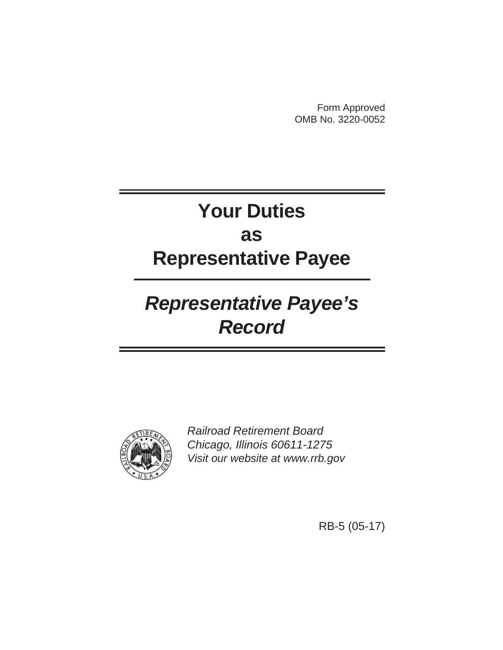Form Approved OMB No. 3220-0052

# **Your Duties as Representative Payee**

# *Representative Payee's Record*



*Railroad Retirement Board Chicago, Illinois 60611-1275 Visit our website at www.rrb.gov*

RB-5 (05-17)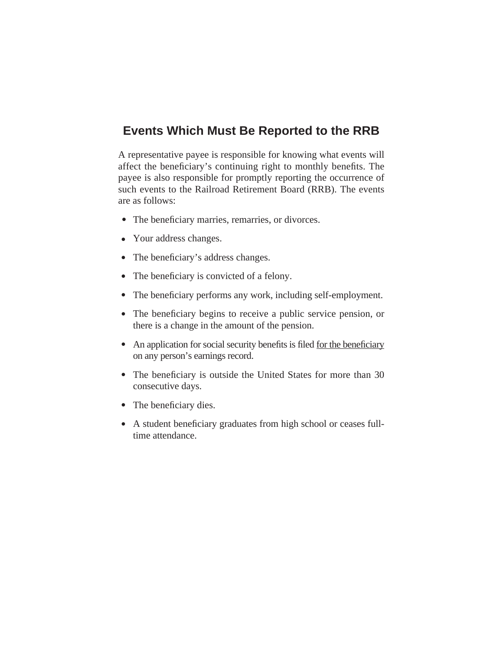### **Events Which Must Be Reported to the RRB**

A representative payee is responsible for knowing what events will affect the beneficiary's continuing right to monthly benefits. The payee is also responsible for promptly reporting the occurrence of such events to the Railroad Retirement Board (RRB). The events are as follows:

- The beneficiary marries, remarries, or divorces.
- Your address changes.
- The beneficiary's address changes.
- The beneficiary is convicted of a felony.
- The beneficiary performs any work, including self-employment.
- The beneficiary begins to receive a public service pension, or there is a change in the amount of the pension.
- An application for social security benefits is filed for the beneficiary on any person's earnings record.
- The beneficiary is outside the United States for more than 30 consecutive days.
- The beneficiary dies.
- A student beneficiary graduates from high school or ceases fulltime attendance.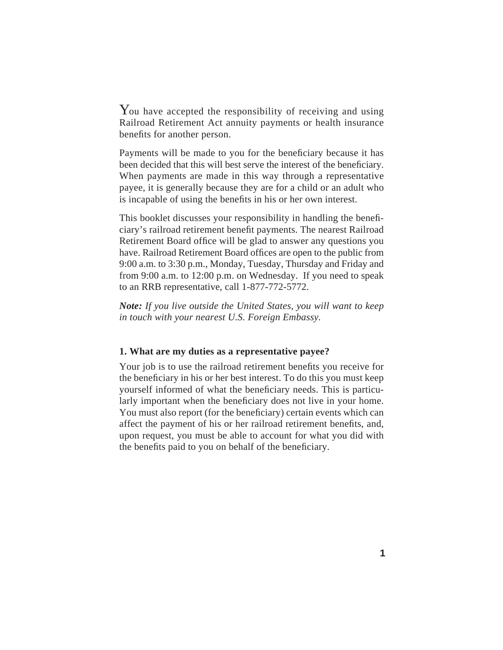You have accepted the responsibility of receiving and using Railroad Retirement Act annuity payments or health insurance benefits for another person.

Payments will be made to you for the beneficiary because it has been decided that this will best serve the interest of the beneficiary. When payments are made in this way through a representative payee, it is generally because they are for a child or an adult who is incapable of using the benefits in his or her own interest.

This booklet discusses your responsibility in handling the beneficiary's railroad retirement benefit payments. The nearest Railroad Retirement Board office will be glad to answer any questions you have. Railroad Retirement Board offices are open to the public from 9:00 a.m. to 3:30 p.m., Monday, Tuesday, Thursday and Friday and from 9:00 a.m. to 12:00 p.m. on Wednesday. If you need to speak to an RRB representative, call 1-877-772-5772.

*Note: If you live outside the United States, you will want to keep in touch with your nearest U.S. Foreign Embassy.*

#### **1. What are my duties as a representative payee?**

Your job is to use the railroad retirement benefits you receive for the beneficiary in his or her best interest. To do this you must keep yourself informed of what the beneficiary needs. This is particularly important when the beneficiary does not live in your home. You must also report (for the beneficiary) certain events which can affect the payment of his or her railroad retirement benefits, and, upon request, you must be able to account for what you did with the benefits paid to you on behalf of the beneficiary.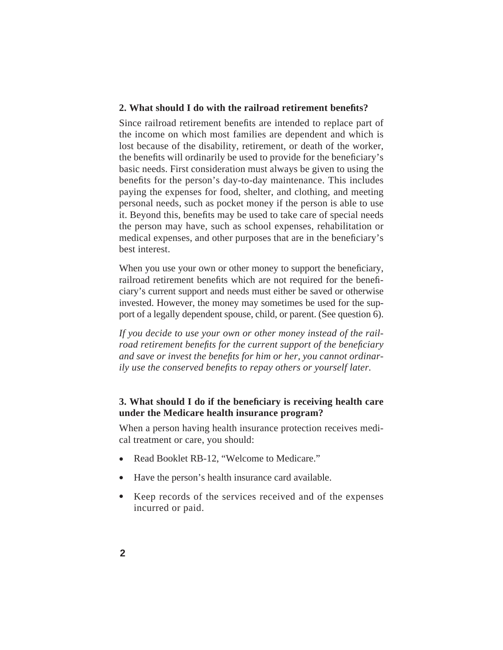#### **2. What should I do with the railroad retirement benefits?**

Since railroad retirement benefits are intended to replace part of the income on which most families are dependent and which is lost because of the disability, retirement, or death of the worker, the benefits will ordinarily be used to provide for the beneficiary's basic needs. First consideration must always be given to using the benefits for the person's day-to-day maintenance. This includes paying the expenses for food, shelter, and clothing, and meeting personal needs, such as pocket money if the person is able to use it. Beyond this, benefits may be used to take care of special needs the person may have, such as school expenses, rehabilitation or medical expenses, and other purposes that are in the beneficiary's best interest.

When you use your own or other money to support the beneficiary, railroad retirement benefits which are not required for the beneficiary's current support and needs must either be saved or otherwise invested. However, the money may sometimes be used for the support of a legally dependent spouse, child, or parent. (See question 6).

*If you decide to use your own or other money instead of the railroad retirement benefits for the current support of the beneficiary* and save or invest the benefits for him or her, you cannot ordinar*ily use the conserved benefits to repay others or yourself later.* 

#### **3. What should I do if the beneficiary is receiving health care under the Medicare health insurance program?**

When a person having health insurance protection receives medical treatment or care, you should:

- Read Booklet RB-12, "Welcome to Medicare."  $\bullet$
- Have the person's health insurance card available.  $\bullet$
- Keep records of the services received and of the expenses incurred or paid.  $\bullet$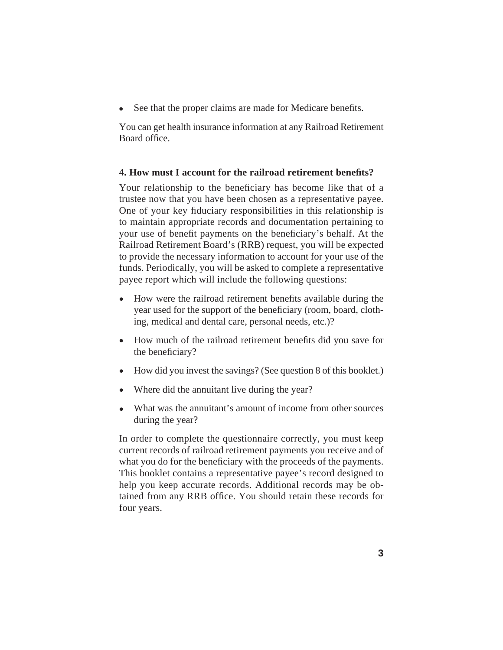See that the proper claims are made for Medicare benefits.  $\bullet$ 

You can get health insurance information at any Railroad Retirement Board office.

#### **4. How must I account for the railroad retirement benefits?**

Your relationship to the beneficiary has become like that of a trustee now that you have been chosen as a representative payee. One of your key fiduciary responsibilities in this relationship is to maintain appropriate records and documentation pertaining to your use of benefit payments on the beneficiary's behalf. At the Railroad Retirement Board's (RRB) request, you will be expected to provide the necessary information to account for your use of the funds. Periodically, you will be asked to complete a representative payee report which will include the following questions:

- How were the railroad retirement benefits available during the year used for the support of the beneficiary (room, board, clothing, medical and dental care, personal needs, etc.)?
- How much of the railroad retirement benefits did you save for the beneficiary?
- How did you invest the savings? (See question 8 of this booklet.)  $\bullet$
- Where did the annuitant live during the year?  $\bullet$
- What was the annuitant's amount of income from other sources during the year?  $\bullet$

In order to complete the questionnaire correctly, you must keep current records of railroad retirement payments you receive and of what you do for the beneficiary with the proceeds of the payments. This booklet contains a representative payee's record designed to help you keep accurate records. Additional records may be obtained from any RRB office. You should retain these records for four years.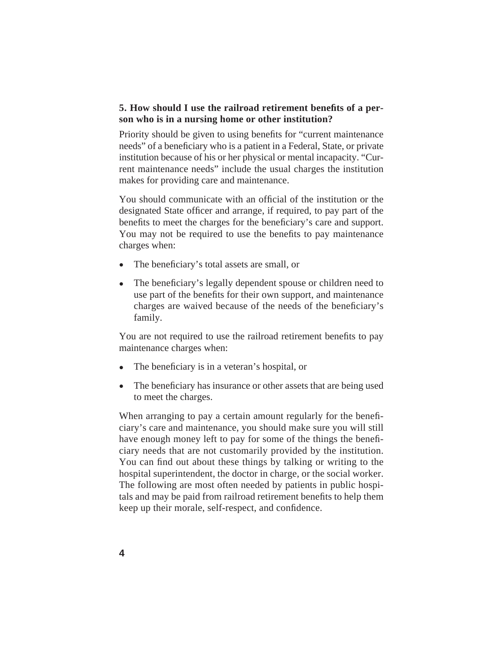#### **5. How should I use the railroad retirement benefits of a person who is in a nursing home or other institution?**

Priority should be given to using benefits for "current maintenance" needs" of a beneficiary who is a patient in a Federal, State, or private institution because of his or her physical or mental incapacity. "Current maintenance needs" include the usual charges the institution makes for providing care and maintenance.

You should communicate with an official of the institution or the designated State officer and arrange, if required, to pay part of the benefits to meet the charges for the beneficiary's care and support. You may not be required to use the benefits to pay maintenance charges when:

- The beneficiary's total assets are small, or  $\bullet$
- The beneficiary's legally dependent spouse or children need to use part of the benefits for their own support, and maintenance charges are waived because of the needs of the beneficiary's family.  $\bullet$

You are not required to use the railroad retirement benefits to pay maintenance charges when:

- The beneficiary is in a veteran's hospital, or  $\bullet$
- The beneficiary has insurance or other assets that are being used to meet the charges.  $\bullet$

When arranging to pay a certain amount regularly for the beneficiary's care and maintenance, you should make sure you will still have enough money left to pay for some of the things the beneficiary needs that are not customarily provided by the institution. You can find out about these things by talking or writing to the hospital superintendent, the doctor in charge, or the social worker. The following are most often needed by patients in public hospitals and may be paid from railroad retirement benefits to help them keep up their morale, self-respect, and confidence.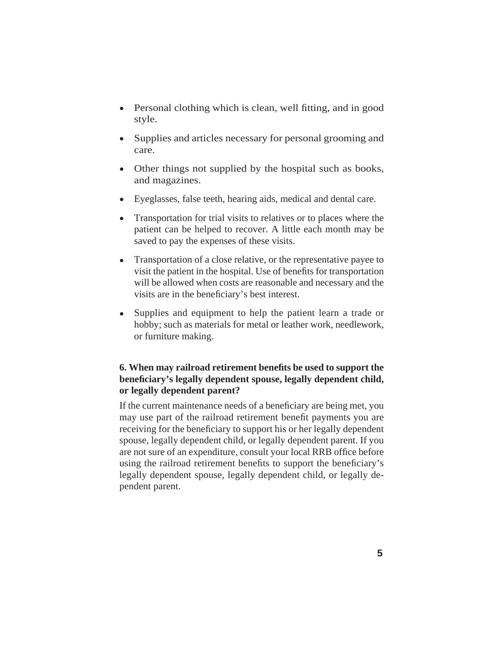- Personal clothing which is clean, well fitting, and in good style.
- Supplies and articles necessary for personal grooming and care.
- Other things not supplied by the hospital such as books, and magazines.
- Eyeglasses, false teeth, hearing aids, medical and dental care.  $\bullet$
- Transportation for trial visits to relatives or to places where the patient can be helped to recover. A little each month may be saved to pay the expenses of these visits.  $\bullet$
- Transportation of a close relative, or the representative payee to visit the patient in the hospital. Use of benefits for transportation will be allowed when costs are reasonable and necessary and the visits are in the beneficiary's best interest.  $\bullet$
- Supplies and equipment to help the patient learn a trade or hobby; such as materials for metal or leather work, needlework, or furniture making.  $\bullet$

#### **6. When may railroad retirement benefits be used to support the** beneficiary's legally dependent spouse, legally dependent child, **or legally dependent parent?**

If the current maintenance needs of a beneficiary are being met, you may use part of the railroad retirement benefit payments you are receiving for the beneficiary to support his or her legally dependent spouse, legally dependent child, or legally dependent parent. If you are not sure of an expenditure, consult your local RRB office before using the railroad retirement benefits to support the beneficiary's legally dependent spouse, legally dependent child, or legally dependent parent.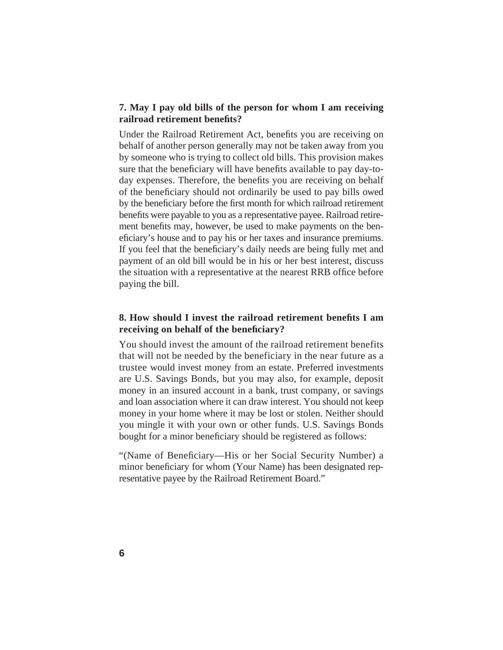#### **7. May I pay old bills of the person for whom I am receiving railroad retirement benefi ts?**

Under the Railroad Retirement Act, benefits you are receiving on behalf of another person generally may not be taken away from you by someone who is trying to collect old bills. This provision makes sure that the beneficiary will have benefits available to pay day-today expenses. Therefore, the benefits you are receiving on behalf of the beneficiary should not ordinarily be used to pay bills owed by the beneficiary before the first month for which railroad retirement benefits were payable to you as a representative payee. Railroad retirement benefits may, however, be used to make payments on the beneficiary's house and to pay his or her taxes and insurance premiums. If you feel that the beneficiary's daily needs are being fully met and payment of an old bill would be in his or her best interest, discuss the situation with a representative at the nearest RRB office before paying the bill.

#### **8. How should I invest the railroad retirement benefits I am receiving on behalf of the beneficiary?**

You should invest the amount of the railroad retirement benefits that will not be needed by the beneficiary in the near future as a trustee would invest money from an estate. Preferred investments are U.S. Savings Bonds, but you may also, for example, deposit money in an insured account in a bank, trust company, or savings and loan association where it can draw interest. You should not keep money in your home where it may be lost or stolen. Neither should you mingle it with your own or other funds. U.S. Savings Bonds bought for a minor beneficiary should be registered as follows:

"(Name of Beneficiary—His or her Social Security Number) a minor beneficiary for whom (Your Name) has been designated representative payee by the Railroad Retirement Board."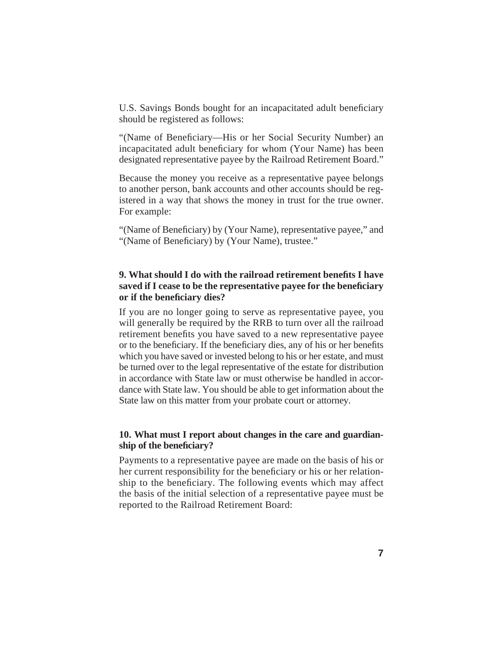U.S. Savings Bonds bought for an incapacitated adult beneficiary should be registered as follows:

"(Name of Beneficiary—His or her Social Security Number) an incapacitated adult beneficiary for whom (Your Name) has been designated representative payee by the Railroad Retirement Board."

Because the money you receive as a representative payee belongs to another person, bank accounts and other accounts should be registered in a way that shows the money in trust for the true owner. For example:

"(Name of Beneficiary) by (Your Name), representative payee," and "(Name of Beneficiary) by (Your Name), trustee."

#### **9. What should I do with the railroad retirement benefits I have saved if I cease to be the representative payee for the beneficiary or if the benefi ciary dies?**

If you are no longer going to serve as representative payee, you will generally be required by the RRB to turn over all the railroad retirement benefits you have saved to a new representative payee or to the beneficiary. If the beneficiary dies, any of his or her benefits which you have saved or invested belong to his or her estate, and must be turned over to the legal representative of the estate for distribution in accordance with State law or must otherwise be handled in accordance with State law. You should be able to get information about the State law on this matter from your probate court or attorney.

#### **10. What must I report about changes in the care and guardianship of the beneficiary?**

Payments to a representative payee are made on the basis of his or her current responsibility for the beneficiary or his or her relationship to the beneficiary. The following events which may affect the basis of the initial selection of a representative payee must be reported to the Railroad Retirement Board: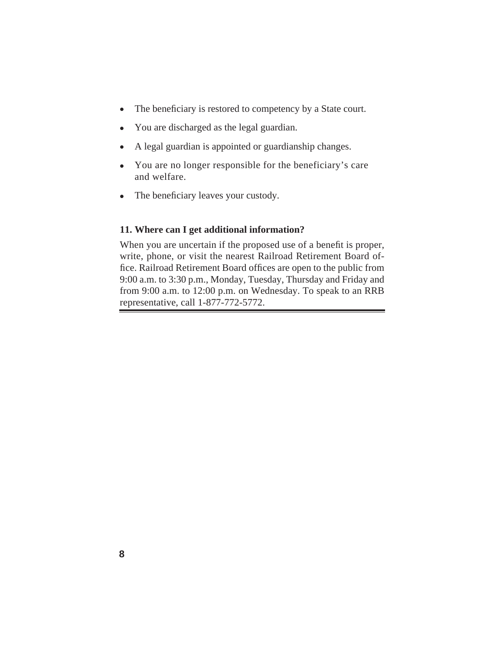- The beneficiary is restored to competency by a State court.  $\bullet$
- You are discharged as the legal guardian.  $\bullet$
- A legal guardian is appointed or guardianship changes.  $\bullet$
- You are no longer responsible for the beneficiary's care and welfare.
- The beneficiary leaves your custody.

#### **11. Where can I get additional information?**

When you are uncertain if the proposed use of a benefit is proper, write, phone, or visit the nearest Railroad Retirement Board office. Railroad Retirement Board offices are open to the public from 9:00 a.m. to 3:30 p.m., Monday, Tuesday, Thursday and Friday and from 9:00 a.m. to 12:00 p.m. on Wednesday. To speak to an RRB representative, call 1-877-772-5772.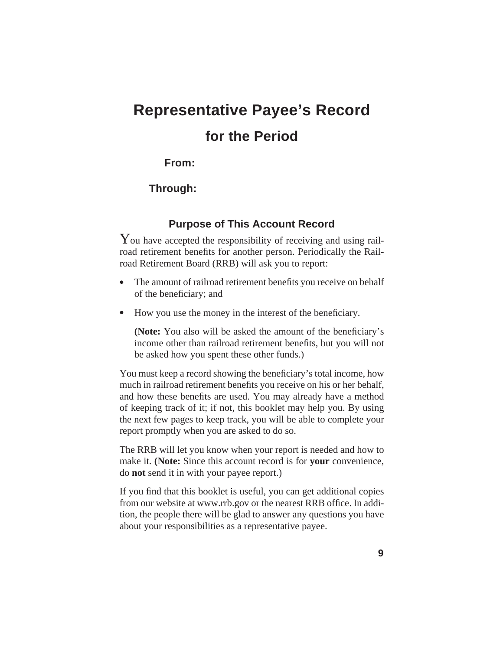## **Representative Payee's Record for the Period**

#### **From:**

#### **Through:**

#### **Purpose of This Account Record**

You have accepted the responsibility of receiving and using railroad retirement benefits for another person. Periodically the Railroad Retirement Board (RRB) will ask you to report:

- The amount of railroad retirement benefits you receive on behalf of the beneficiary; and  $\bullet$
- How you use the money in the interest of the beneficiary.  $\bullet$

**(Note:** You also will be asked the amount of the beneficiary's income other than railroad retirement benefits, but you will not be asked how you spent these other funds.)

You must keep a record showing the beneficiary's total income, how much in railroad retirement benefits you receive on his or her behalf, and how these benefits are used. You may already have a method of keeping track of it; if not, this booklet may help you. By using the next few pages to keep track, you will be able to complete your report promptly when you are asked to do so.

The RRB will let you know when your report is needed and how to make it. **(Note:** Since this account record is for **your** convenience, do **not** send it in with your payee report.)

If you find that this booklet is useful, you can get additional copies from our website at www.rrb.gov or the nearest RRB office. In addition, the people there will be glad to answer any questions you have about your responsibilities as a representative payee.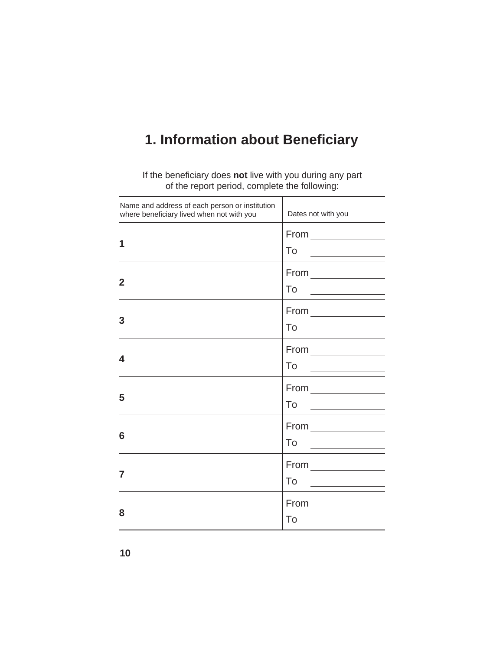## **1. Information about Beneficiary**

If the beneficiary does not live with you during any part of the report period, complete the following:

| Name and address of each person or institution<br>where beneficiary lived when not with you | Dates not with you                                                  |
|---------------------------------------------------------------------------------------------|---------------------------------------------------------------------|
| 1                                                                                           | $From \_\_$<br>To<br>the control of the control of the control of   |
| $\mathbf 2$                                                                                 | $From \_\_$<br>To                                                   |
| 3                                                                                           | $From \_\_$<br>To                                                   |
| 4                                                                                           | $From \_\_$<br>To<br>the control of the control of the control of   |
| 5                                                                                           | $From \_\_$<br>To<br><u> 1990 - Jan Barbara al II-lea (b. 1980)</u> |
| 6                                                                                           | $From \_\_$<br>To<br>the control of the control of the control of   |
| 7                                                                                           | $From \_\_$<br>To                                                   |
| 8                                                                                           | $From \_\_\_\_\_\_\_\_\_\_\$<br>To                                  |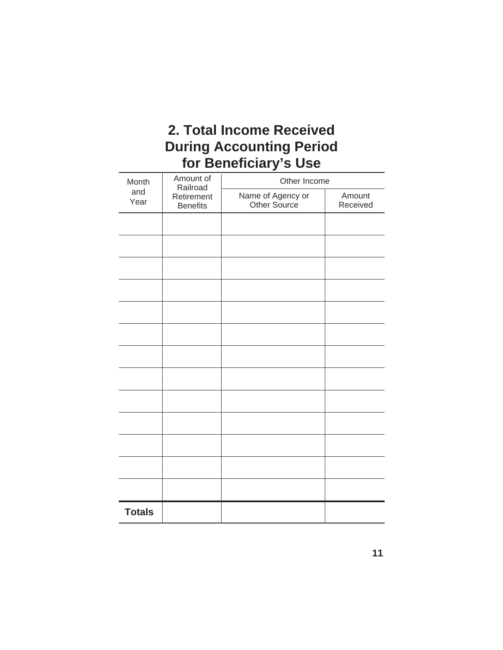## **2. Total Income Received During Accounting Period for Benefi ciary's Use**

| Month                                        | Amount of<br>Railroad | Other Income                      |                    |  |  |  |  |  |
|----------------------------------------------|-----------------------|-----------------------------------|--------------------|--|--|--|--|--|
| and<br>Retirement<br>Year<br><b>Benefits</b> |                       | Name of Agency or<br>Other Source | Amount<br>Received |  |  |  |  |  |
|                                              |                       |                                   |                    |  |  |  |  |  |
|                                              |                       |                                   |                    |  |  |  |  |  |
|                                              |                       |                                   |                    |  |  |  |  |  |
|                                              |                       |                                   |                    |  |  |  |  |  |
|                                              |                       |                                   |                    |  |  |  |  |  |
|                                              |                       |                                   |                    |  |  |  |  |  |
|                                              |                       |                                   |                    |  |  |  |  |  |
|                                              |                       |                                   |                    |  |  |  |  |  |
|                                              |                       |                                   |                    |  |  |  |  |  |
|                                              |                       |                                   |                    |  |  |  |  |  |
|                                              |                       |                                   |                    |  |  |  |  |  |
|                                              |                       |                                   |                    |  |  |  |  |  |
|                                              |                       |                                   |                    |  |  |  |  |  |
| <b>Totals</b>                                |                       |                                   |                    |  |  |  |  |  |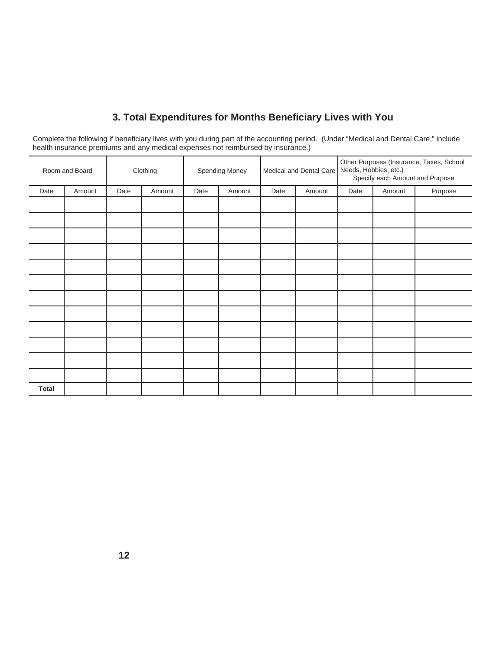### **3. Total Expenditures for Months Benefi ciary Lives with You**

Complete the following if beneficiary lives with you during part of the accounting period. (Under "Medical and Dental Care," include health insurance premiums and any medical expenses not reimbursed by insurance.)

|              | Room and Board |      | Clothing |      | Spending Money | Medical and Dental Care   Needs, Hobbies, etc.) |        | Other Purposes (Insurance, Taxes, School<br>Specify each Amount and Purpose |        |         |
|--------------|----------------|------|----------|------|----------------|-------------------------------------------------|--------|-----------------------------------------------------------------------------|--------|---------|
| Date         | Amount         | Date | Amount   | Date | Amount         | Date                                            | Amount | Date                                                                        | Amount | Purpose |
|              |                |      |          |      |                |                                                 |        |                                                                             |        |         |
|              |                |      |          |      |                |                                                 |        |                                                                             |        |         |
|              |                |      |          |      |                |                                                 |        |                                                                             |        |         |
|              |                |      |          |      |                |                                                 |        |                                                                             |        |         |
|              |                |      |          |      |                |                                                 |        |                                                                             |        |         |
|              |                |      |          |      |                |                                                 |        |                                                                             |        |         |
|              |                |      |          |      |                |                                                 |        |                                                                             |        |         |
|              |                |      |          |      |                |                                                 |        |                                                                             |        |         |
|              |                |      |          |      |                |                                                 |        |                                                                             |        |         |
|              |                |      |          |      |                |                                                 |        |                                                                             |        |         |
|              |                |      |          |      |                |                                                 |        |                                                                             |        |         |
|              |                |      |          |      |                |                                                 |        |                                                                             |        |         |
| <b>Total</b> |                |      |          |      |                |                                                 |        |                                                                             |        |         |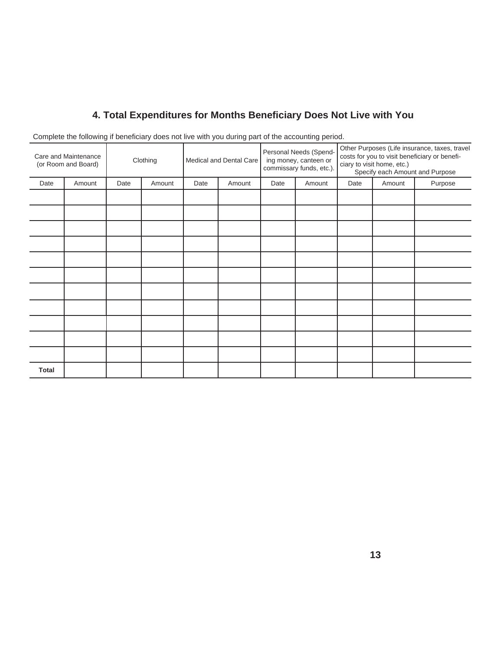### **4. Total Expenditures for Months Benefi ciary Does Not Live with You**

|                                             | ັ      |          |        |                         | <u>.</u> |                                                                             | <u>- 1</u> |                                                                                                                                                                 |        |         |
|---------------------------------------------|--------|----------|--------|-------------------------|----------|-----------------------------------------------------------------------------|------------|-----------------------------------------------------------------------------------------------------------------------------------------------------------------|--------|---------|
| Care and Maintenance<br>(or Room and Board) |        | Clothing |        | Medical and Dental Care |          | Personal Needs (Spend-<br>ing money, canteen or<br>commissary funds, etc.). |            | Other Purposes (Life insurance, taxes, travel<br>costs for you to visit beneficiary or benefi-<br>ciary to visit home, etc.)<br>Specify each Amount and Purpose |        |         |
| Date                                        | Amount | Date     | Amount | Date                    | Amount   | Date                                                                        | Amount     | Date                                                                                                                                                            | Amount | Purpose |
|                                             |        |          |        |                         |          |                                                                             |            |                                                                                                                                                                 |        |         |
|                                             |        |          |        |                         |          |                                                                             |            |                                                                                                                                                                 |        |         |
|                                             |        |          |        |                         |          |                                                                             |            |                                                                                                                                                                 |        |         |
|                                             |        |          |        |                         |          |                                                                             |            |                                                                                                                                                                 |        |         |
|                                             |        |          |        |                         |          |                                                                             |            |                                                                                                                                                                 |        |         |
|                                             |        |          |        |                         |          |                                                                             |            |                                                                                                                                                                 |        |         |
|                                             |        |          |        |                         |          |                                                                             |            |                                                                                                                                                                 |        |         |
|                                             |        |          |        |                         |          |                                                                             |            |                                                                                                                                                                 |        |         |
|                                             |        |          |        |                         |          |                                                                             |            |                                                                                                                                                                 |        |         |
|                                             |        |          |        |                         |          |                                                                             |            |                                                                                                                                                                 |        |         |
|                                             |        |          |        |                         |          |                                                                             |            |                                                                                                                                                                 |        |         |
| <b>Total</b>                                |        |          |        |                         |          |                                                                             |            |                                                                                                                                                                 |        |         |

Complete the following if beneficiary does not live with you during part of the accounting period.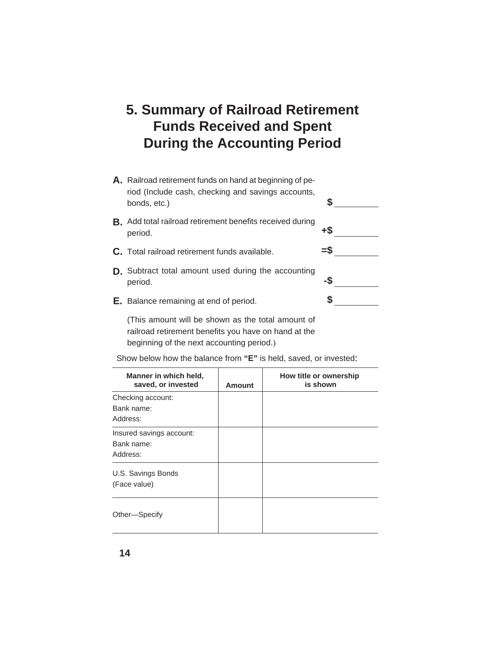### **5. Summary of Railroad Retirement Funds Received and Spent During the Accounting Period**

| A. Railroad retirement funds on hand at beginning of pe-<br>riod (Include cash, checking and savings accounts,<br>bonds, etc.) |     |
|--------------------------------------------------------------------------------------------------------------------------------|-----|
| <b>B.</b> Add total railroad retirement benefits received during<br>period.                                                    | +\$ |
| C. Total railroad retirement funds available.                                                                                  | =S  |
| <b>D.</b> Subtract total amount used during the accounting<br>period.                                                          | -S  |
| <b>E.</b> Balance remaining at end of period.                                                                                  |     |
| $\sigma$                                                                                                                       |     |

(This amount will be shown as the total amount of railroad retirement benefits you have on hand at the beginning of the next accounting period.)

Show below how the balance from **"E"** is held, saved, or invested:

| Manner in which held,<br>saved, or invested        | <b>Amount</b> | How title or ownership<br>is shown |
|----------------------------------------------------|---------------|------------------------------------|
| Checking account:<br>Bank name:<br>Address:        |               |                                    |
| Insured savings account:<br>Bank name:<br>Address: |               |                                    |
| U.S. Savings Bonds<br>(Face value)                 |               |                                    |
| Other-Specify                                      |               |                                    |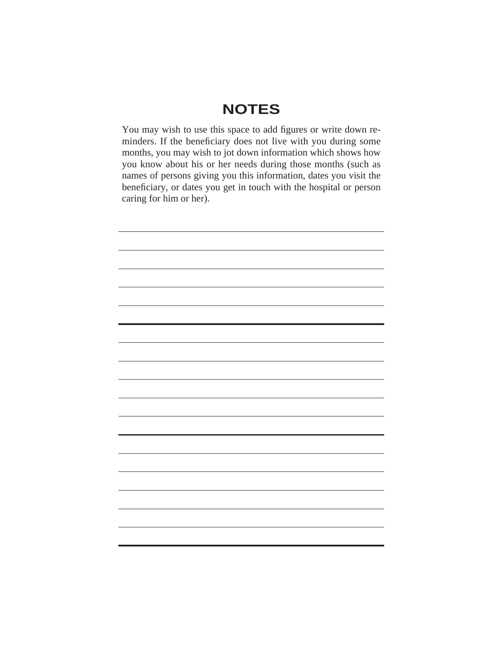## **NOTES**

You may wish to use this space to add figures or write down reminders. If the beneficiary does not live with you during some months, you may wish to jot down information which shows how you know about his or her needs during those months (such as names of persons giving you this information, dates you visit the beneficiary, or dates you get in touch with the hospital or person caring for him or her).